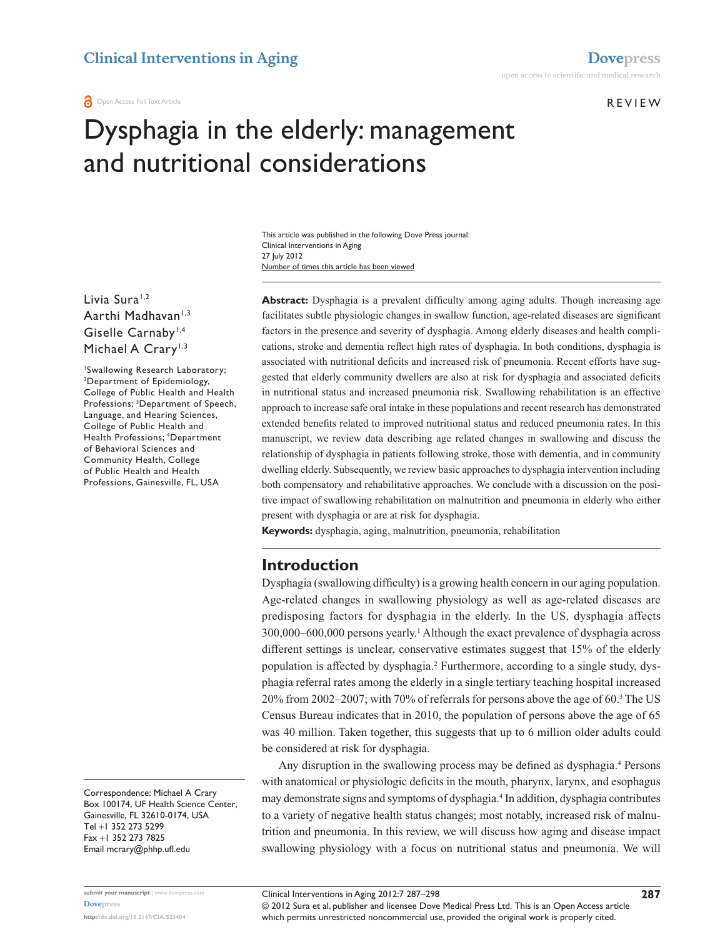**O** Open Access Full Text Article

R e v ie w

# Dysphagia in the elderly: management and nutritional considerations

Number of times this article has been viewed This article was published in the following Dove Press journal: Clinical Interventions in Aging 27 July 2012

Livia Sura<sup>1,2</sup> Aarthi Madhavan<sup>1,3</sup> Giselle Carnaby<sup>1,4</sup> Michael A Crary<sup>1,3</sup>

1 Swallowing Research Laboratory; 2 Department of Epidemiology, College of Public Health and Health Professions; 3 Department of Speech, Language, and Hearing Sciences, College of Public Health and Health Professions; 4 Department of Behavioral Sciences and Community Health, College of Public Health and Health Professions, Gainesville, FL, USA

Correspondence: Michael A Crary Box 100174, UF Health Science Center, Gainesville, FL 32610-0174, USA Tel +1 352 273 5299 Fax +1 352 273 7825 Email [mcrary@phhp.ufl.ed](mailto:mcrary@phhp.ufl.edu)u

**submit your manuscript** | <www.dovepress.com> **[Dovepress](www.dovepress.com) <http://dx.doi.org/10.2147/CIA.S23404>**

Abstract: Dysphagia is a prevalent difficulty among aging adults. Though increasing age facilitates subtle physiologic changes in swallow function, age-related diseases are significant factors in the presence and severity of dysphagia. Among elderly diseases and health complications, stroke and dementia reflect high rates of dysphagia. In both conditions, dysphagia is associated with nutritional deficits and increased risk of pneumonia. Recent efforts have suggested that elderly community dwellers are also at risk for dysphagia and associated deficits in nutritional status and increased pneumonia risk. Swallowing rehabilitation is an effective approach to increase safe oral intake in these populations and recent research has demonstrated extended benefits related to improved nutritional status and reduced pneumonia rates. In this manuscript, we review data describing age related changes in swallowing and discuss the relationship of dysphagia in patients following stroke, those with dementia, and in community dwelling elderly. Subsequently, we review basic approaches to dysphagia intervention including both compensatory and rehabilitative approaches. We conclude with a discussion on the positive impact of swallowing rehabilitation on malnutrition and pneumonia in elderly who either present with dysphagia or are at risk for dysphagia.

**Keywords:** dysphagia, aging, malnutrition, pneumonia, rehabilitation

# **Introduction**

Dysphagia (swallowing difficulty) is a growing health concern in our aging population. Age-related changes in swallowing physiology as well as age-related diseases are predisposing factors for dysphagia in the elderly. In the US, dysphagia affects 300,000–600,000 persons yearly.1 Although the exact prevalence of dysphagia across different settings is unclear, conservative estimates suggest that 15% of the elderly population is affected by dysphagia.<sup>2</sup> Furthermore, according to a single study, dysphagia referral rates among the elderly in a single tertiary teaching hospital increased 20% from 2002–2007; with 70% of referrals for persons above the age of 60.3 The US Census Bureau indicates that in 2010, the population of persons above the age of 65 was 40 million. Taken together, this suggests that up to 6 million older adults could be considered at risk for dysphagia.

Any disruption in the swallowing process may be defined as dysphagia.<sup>4</sup> Persons with anatomical or physiologic deficits in the mouth, pharynx, larynx, and esophagus may demonstrate signs and symptoms of dysphagia.4 In addition, dysphagia contributes to a variety of negative health status changes; most notably, increased risk of malnutrition and pneumonia. In this review, we will discuss how aging and disease impact swallowing physiology with a focus on nutritional status and pneumonia. We will

© 2012 Sura et al, publisher and licensee Dove Medical Press Ltd. This is an Open Access article which permits unrestricted noncommercial use, provided the original work is properly cited.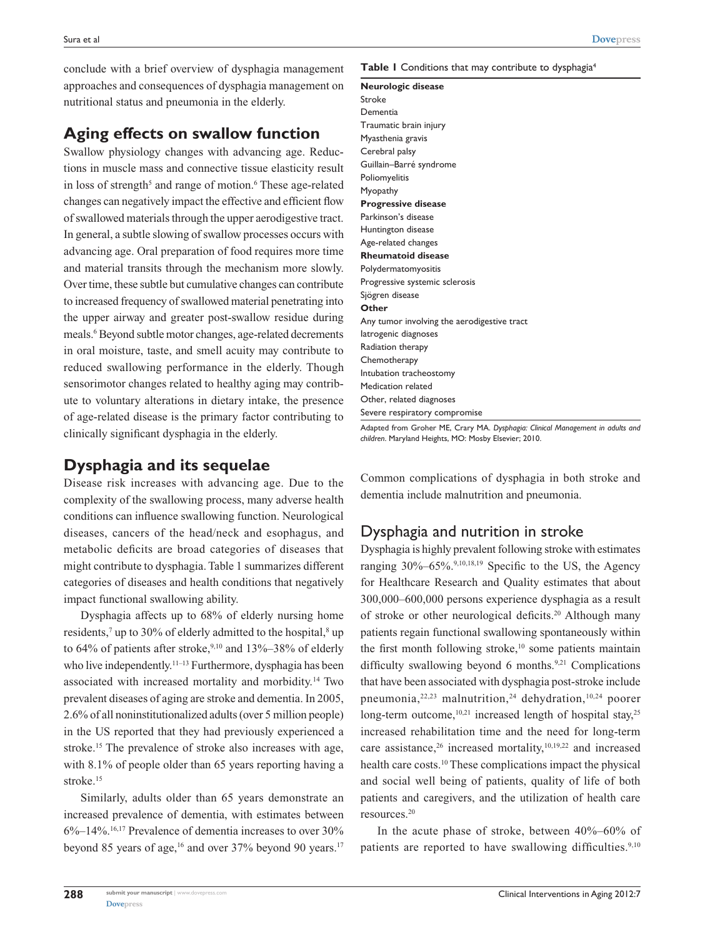conclude with a brief overview of dysphagia management approaches and consequences of dysphagia management on nutritional status and pneumonia in the elderly.

# **Aging effects on swallow function**

Swallow physiology changes with advancing age. Reductions in muscle mass and connective tissue elasticity result in loss of strength<sup>5</sup> and range of motion.<sup>6</sup> These age-related changes can negatively impact the effective and efficient flow of swallowed materials through the upper aerodigestive tract. In general, a subtle slowing of swallow processes occurs with advancing age. Oral preparation of food requires more time and material transits through the mechanism more slowly. Over time, these subtle but cumulative changes can contribute to increased frequency of swallowed material penetrating into the upper airway and greater post-swallow residue during meals.<sup>6</sup> Beyond subtle motor changes, age-related decrements in oral moisture, taste, and smell acuity may contribute to reduced swallowing performance in the elderly. Though sensorimotor changes related to healthy aging may contribute to voluntary alterations in dietary intake, the presence of age-related disease is the primary factor contributing to clinically significant dysphagia in the elderly.

# **Dysphagia and its sequelae**

Disease risk increases with advancing age. Due to the complexity of the swallowing process, many adverse health conditions can influence swallowing function. Neurological diseases, cancers of the head/neck and esophagus, and metabolic deficits are broad categories of diseases that might contribute to dysphagia. Table 1 summarizes different categories of diseases and health conditions that negatively impact functional swallowing ability.

Dysphagia affects up to 68% of elderly nursing home residents,<sup>7</sup> up to 30% of elderly admitted to the hospital,<sup>8</sup> up to 64% of patients after stroke, $9,10$  and 13%–38% of elderly who live independently.<sup>11–13</sup> Furthermore, dysphagia has been associated with increased mortality and morbidity.14 Two prevalent diseases of aging are stroke and dementia. In 2005, 2.6% of all noninstitutionalized adults (over 5 million people) in the US reported that they had previously experienced a stroke.15 The prevalence of stroke also increases with age, with 8.1% of people older than 65 years reporting having a stroke.<sup>15</sup>

Similarly, adults older than 65 years demonstrate an increased prevalence of dementia, with estimates between  $6\%$ –14%.<sup>16,17</sup> Prevalence of dementia increases to over  $30\%$ beyond 85 years of age,<sup>16</sup> and over  $37\%$  beyond 90 years.<sup>17</sup>

#### Table 1 Conditions that may contribute to dysphagia<sup>4</sup>

#### **Neurologic disease**

Stroke Dementia Traumatic brain injury Myasthenia gravis Cerebral palsy Guillain–Barré syndrome Poliomyelitis Myopathy **Progressive disease** Parkinson's disease Huntington disease Age-related changes **Rheumatoid disease** Polydermatomyositis Progressive systemic sclerosis Sjögren disease **Other** Any tumor involving the aerodigestive tract Iatrogenic diagnoses Radiation therapy Chemotherapy Intubation tracheostomy Medication related Other, related diagnoses Severe respiratory compromise

Adapted from Groher ME, Crary MA. *Dysphagia: Clinical Management in adults and children*. Maryland Heights, MO: Mosby Elsevier; 2010.

Common complications of dysphagia in both stroke and dementia include malnutrition and pneumonia.

# Dysphagia and nutrition in stroke

Dysphagia is highly prevalent following stroke with estimates ranging  $30\% - 65\%$ .<sup>9,10,18,19</sup> Specific to the US, the Agency for Healthcare Research and Quality estimates that about 300,000–600,000 persons experience dysphagia as a result of stroke or other neurological deficits.<sup>20</sup> Although many patients regain functional swallowing spontaneously within the first month following stroke, $10$  some patients maintain difficulty swallowing beyond  $6$  months.<sup>9,21</sup> Complications that have been associated with dysphagia post-stroke include pneumonia, $2^{2,23}$  malnutrition, $2^4$  dehydration, $10,24$  poorer long-term outcome,<sup>10,21</sup> increased length of hospital stay,<sup>25</sup> increased rehabilitation time and the need for long-term care assistance, $26$  increased mortality, $10,19,22$  and increased health care costs.<sup>10</sup> These complications impact the physical and social well being of patients, quality of life of both patients and caregivers, and the utilization of health care resources.20

In the acute phase of stroke, between 40%–60% of patients are reported to have swallowing difficulties.<sup>9,10</sup>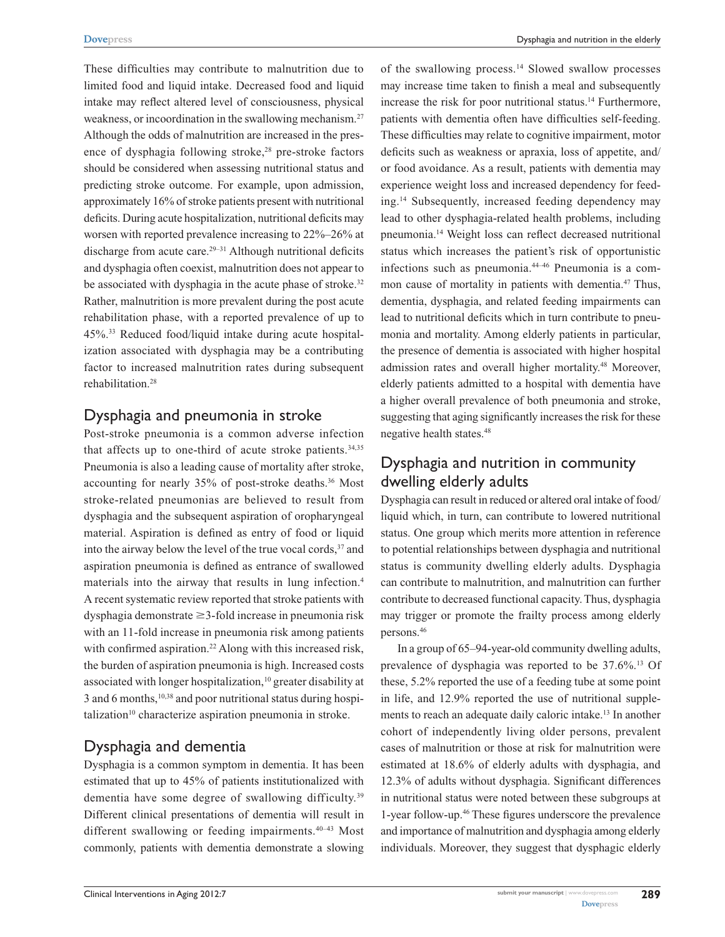These difficulties may contribute to malnutrition due to limited food and liquid intake. Decreased food and liquid intake may reflect altered level of consciousness, physical weakness, or incoordination in the swallowing mechanism.27 Although the odds of malnutrition are increased in the presence of dysphagia following stroke, $28$  pre-stroke factors should be considered when assessing nutritional status and predicting stroke outcome. For example, upon admission, approximately 16% of stroke patients present with nutritional deficits. During acute hospitalization, nutritional deficits may worsen with reported prevalence increasing to 22%–26% at discharge from acute care. $29-31$  Although nutritional deficits and dysphagia often coexist, malnutrition does not appear to be associated with dysphagia in the acute phase of stroke.<sup>32</sup> Rather, malnutrition is more prevalent during the post acute rehabilitation phase, with a reported prevalence of up to 45%.33 Reduced food/liquid intake during acute hospitalization associated with dysphagia may be a contributing factor to increased malnutrition rates during subsequent rehabilitation.28

### Dysphagia and pneumonia in stroke

Post-stroke pneumonia is a common adverse infection that affects up to one-third of acute stroke patients.<sup>34,35</sup> Pneumonia is also a leading cause of mortality after stroke, accounting for nearly 35% of post-stroke deaths.<sup>36</sup> Most stroke-related pneumonias are believed to result from dysphagia and the subsequent aspiration of oropharyngeal material. Aspiration is defined as entry of food or liquid into the airway below the level of the true vocal cords, $37$  and aspiration pneumonia is defined as entrance of swallowed materials into the airway that results in lung infection.4 A recent systematic review reported that stroke patients with dysphagia demonstrate  $\geq$ 3-fold increase in pneumonia risk with an 11-fold increase in pneumonia risk among patients with confirmed aspiration.<sup>22</sup> Along with this increased risk, the burden of aspiration pneumonia is high. Increased costs associated with longer hospitalization,<sup>10</sup> greater disability at 3 and 6 months,<sup>10,38</sup> and poor nutritional status during hospi $talization<sup>10</sup> characteristic$  aspiration pneumonia in stroke.

### Dysphagia and dementia

Dysphagia is a common symptom in dementia. It has been estimated that up to 45% of patients institutionalized with dementia have some degree of swallowing difficulty.<sup>39</sup> Different clinical presentations of dementia will result in different swallowing or feeding impairments.<sup>40–43</sup> Most commonly, patients with dementia demonstrate a slowing of the swallowing process.14 Slowed swallow processes may increase time taken to finish a meal and subsequently increase the risk for poor nutritional status.<sup>14</sup> Furthermore, patients with dementia often have difficulties self-feeding. These difficulties may relate to cognitive impairment, motor deficits such as weakness or apraxia, loss of appetite, and/ or food avoidance. As a result, patients with dementia may experience weight loss and increased dependency for feeding.14 Subsequently, increased feeding dependency may lead to other dysphagia-related health problems, including pneumonia.14 Weight loss can reflect decreased nutritional status which increases the patient's risk of opportunistic infections such as pneumonia.44–46 Pneumonia is a common cause of mortality in patients with dementia.47 Thus, dementia, dysphagia, and related feeding impairments can lead to nutritional deficits which in turn contribute to pneumonia and mortality. Among elderly patients in particular, the presence of dementia is associated with higher hospital admission rates and overall higher mortality.48 Moreover, elderly patients admitted to a hospital with dementia have a higher overall prevalence of both pneumonia and stroke, suggesting that aging significantly increases the risk for these negative health states.48

# Dysphagia and nutrition in community dwelling elderly adults

Dysphagia can result in reduced or altered oral intake of food/ liquid which, in turn, can contribute to lowered nutritional status. One group which merits more attention in reference to potential relationships between dysphagia and nutritional status is community dwelling elderly adults. Dysphagia can contribute to malnutrition, and malnutrition can further contribute to decreased functional capacity. Thus, dysphagia may trigger or promote the frailty process among elderly persons.46

In a group of 65–94-year-old community dwelling adults, prevalence of dysphagia was reported to be 37.6%.13 Of these, 5.2% reported the use of a feeding tube at some point in life, and 12.9% reported the use of nutritional supplements to reach an adequate daily caloric intake.13 In another cohort of independently living older persons, prevalent cases of malnutrition or those at risk for malnutrition were estimated at 18.6% of elderly adults with dysphagia, and 12.3% of adults without dysphagia. Significant differences in nutritional status were noted between these subgroups at 1-year follow-up.46 These figures underscore the prevalence and importance of malnutrition and dysphagia among elderly individuals. Moreover, they suggest that dysphagic elderly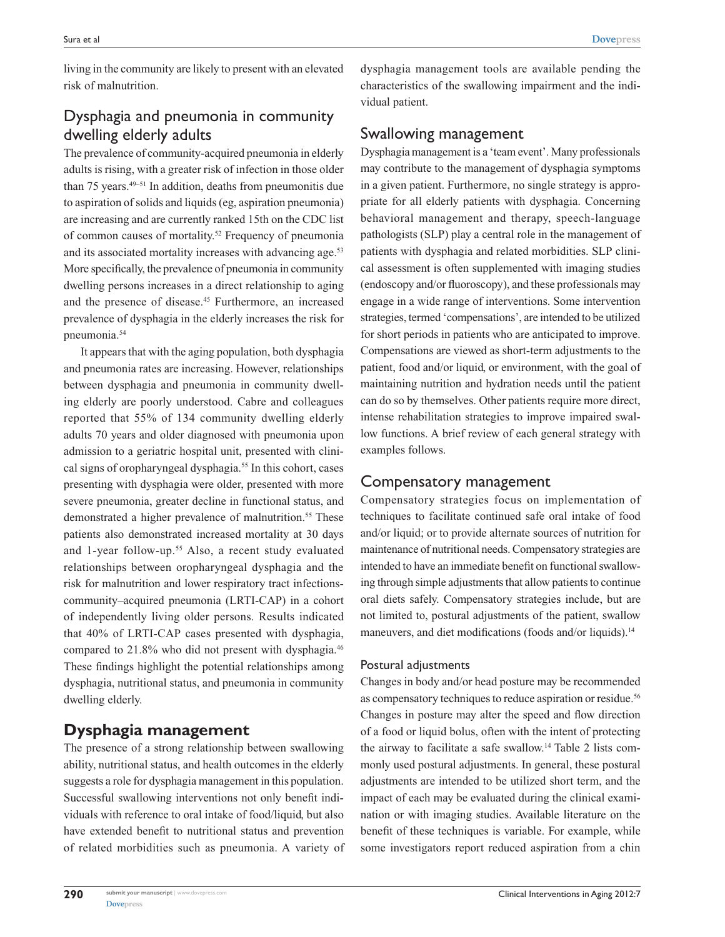living in the community are likely to present with an elevated risk of malnutrition.

# Dysphagia and pneumonia in community dwelling elderly adults

The prevalence of community-acquired pneumonia in elderly adults is rising, with a greater risk of infection in those older than 75 years.<sup>49-51</sup> In addition, deaths from pneumonitis due to aspiration of solids and liquids (eg, aspiration pneumonia) are increasing and are currently ranked 15th on the CDC list of common causes of mortality.52 Frequency of pneumonia and its associated mortality increases with advancing age.<sup>53</sup> More specifically, the prevalence of pneumonia in community dwelling persons increases in a direct relationship to aging and the presence of disease.45 Furthermore, an increased prevalence of dysphagia in the elderly increases the risk for pneumonia.54

It appears that with the aging population, both dysphagia and pneumonia rates are increasing. However, relationships between dysphagia and pneumonia in community dwelling elderly are poorly understood. Cabre and colleagues reported that 55% of 134 community dwelling elderly adults 70 years and older diagnosed with pneumonia upon admission to a geriatric hospital unit, presented with clinical signs of oropharyngeal dysphagia.55 In this cohort, cases presenting with dysphagia were older, presented with more severe pneumonia, greater decline in functional status, and demonstrated a higher prevalence of malnutrition.<sup>55</sup> These patients also demonstrated increased mortality at 30 days and 1-year follow-up.<sup>55</sup> Also, a recent study evaluated relationships between oropharyngeal dysphagia and the risk for malnutrition and lower respiratory tract infectionscommunity–acquired pneumonia (LRTI-CAP) in a cohort of independently living older persons. Results indicated that 40% of LRTI-CAP cases presented with dysphagia, compared to 21.8% who did not present with dysphagia.<sup>46</sup> These findings highlight the potential relationships among dysphagia, nutritional status, and pneumonia in community dwelling elderly.

# **Dysphagia management**

The presence of a strong relationship between swallowing ability, nutritional status, and health outcomes in the elderly suggests a role for dysphagia management in this population. Successful swallowing interventions not only benefit individuals with reference to oral intake of food/liquid, but also have extended benefit to nutritional status and prevention of related morbidities such as pneumonia. A variety of dysphagia management tools are available pending the characteristics of the swallowing impairment and the individual patient.

### Swallowing management

Dysphagia management is a 'team event'. Many professionals may contribute to the management of dysphagia symptoms in a given patient. Furthermore, no single strategy is appropriate for all elderly patients with dysphagia. Concerning behavioral management and therapy, speech-language pathologists (SLP) play a central role in the management of patients with dysphagia and related morbidities. SLP clinical assessment is often supplemented with imaging studies (endoscopy and/or fluoroscopy), and these professionals may engage in a wide range of interventions. Some intervention strategies, termed 'compensations', are intended to be utilized for short periods in patients who are anticipated to improve. Compensations are viewed as short-term adjustments to the patient, food and/or liquid, or environment, with the goal of maintaining nutrition and hydration needs until the patient can do so by themselves. Other patients require more direct, intense rehabilitation strategies to improve impaired swallow functions. A brief review of each general strategy with examples follows.

### Compensatory management

Compensatory strategies focus on implementation of techniques to facilitate continued safe oral intake of food and/or liquid; or to provide alternate sources of nutrition for maintenance of nutritional needs. Compensatory strategies are intended to have an immediate benefit on functional swallowing through simple adjustments that allow patients to continue oral diets safely. Compensatory strategies include, but are not limited to, postural adjustments of the patient, swallow maneuvers, and diet modifications (foods and/or liquids).<sup>14</sup>

### Postural adjustments

Changes in body and/or head posture may be recommended as compensatory techniques to reduce aspiration or residue.<sup>56</sup> Changes in posture may alter the speed and flow direction of a food or liquid bolus, often with the intent of protecting the airway to facilitate a safe swallow.14 Table 2 lists commonly used postural adjustments. In general, these postural adjustments are intended to be utilized short term, and the impact of each may be evaluated during the clinical examination or with imaging studies. Available literature on the benefit of these techniques is variable. For example, while some investigators report reduced aspiration from a chin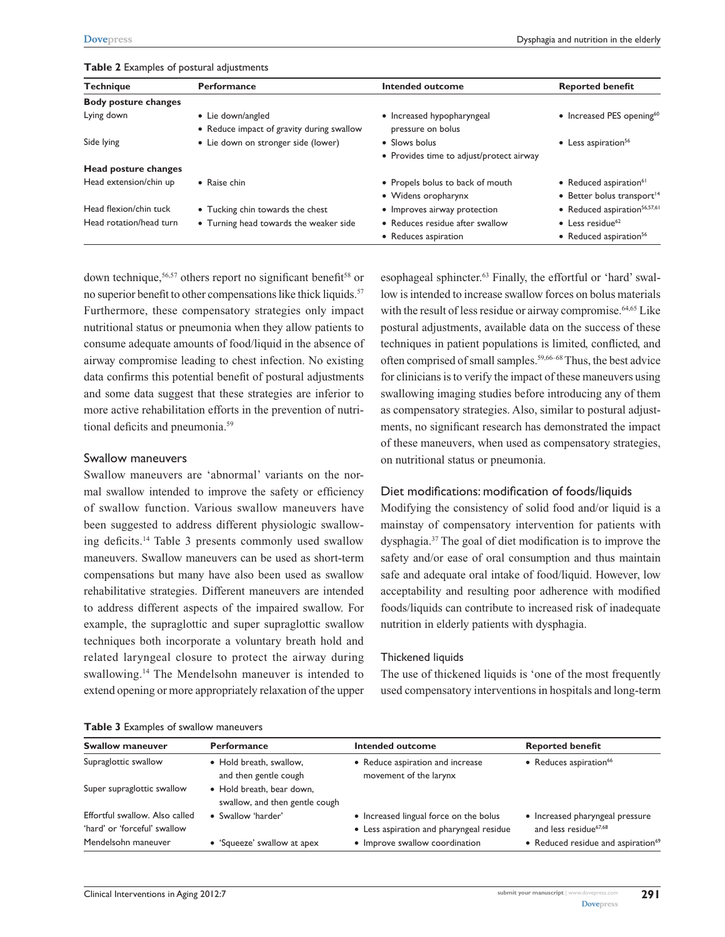| $\frac{1}{2}$ and $\frac{1}{2}$ and $\frac{1}{2}$ and $\frac{1}{2}$ are $\frac{1}{2}$ and $\frac{1}{2}$ and $\frac{1}{2}$ and $\frac{1}{2}$ and $\frac{1}{2}$ and $\frac{1}{2}$ and $\frac{1}{2}$ and $\frac{1}{2}$ and $\frac{1}{2}$ and $\frac{1}{2}$ and $\frac{1}{2}$ and $\frac{1}{2}$ a |                                                                            |                                                                                          |                                                                                  |
|-----------------------------------------------------------------------------------------------------------------------------------------------------------------------------------------------------------------------------------------------------------------------------------------------|----------------------------------------------------------------------------|------------------------------------------------------------------------------------------|----------------------------------------------------------------------------------|
| Technique                                                                                                                                                                                                                                                                                     | <b>Performance</b>                                                         | Intended outcome                                                                         | <b>Reported benefit</b>                                                          |
| <b>Body posture changes</b>                                                                                                                                                                                                                                                                   |                                                                            |                                                                                          |                                                                                  |
| Lying down                                                                                                                                                                                                                                                                                    | • Lie down/angled<br>• Reduce impact of gravity during swallow             | • Increased hypopharyngeal<br>• Increased PES opening <sup>60</sup><br>pressure on bolus |                                                                                  |
| Side lying                                                                                                                                                                                                                                                                                    | • Lie down on stronger side (lower)                                        | • Slows bolus<br>• Provides time to adjust/protect airway                                | • Less aspiration <sup>56</sup>                                                  |
| Head posture changes                                                                                                                                                                                                                                                                          |                                                                            |                                                                                          |                                                                                  |
| Head extension/chin up                                                                                                                                                                                                                                                                        | • Raise chin                                                               | • Propels bolus to back of mouth<br>• Widens oropharynx                                  | • Reduced aspiration <sup>61</sup><br>• Better bolus transport <sup>14</sup>     |
| Head flexion/chin tuck<br>Head rotation/head turn                                                                                                                                                                                                                                             | • Tucking chin towards the chest<br>• Turning head towards the weaker side | • Improves airway protection<br>• Reduces residue after swallow                          | • Reduced aspiration <sup>56,57,61</sup><br>$\bullet$ Less residue <sup>62</sup> |
|                                                                                                                                                                                                                                                                                               |                                                                            | • Reduces aspiration                                                                     | • Reduced aspiration <sup>56</sup>                                               |

#### **Table 2** Examples of postural adjustments

down technique,<sup>56,57</sup> others report no significant benefit<sup>58</sup> or no superior benefit to other compensations like thick liquids.<sup>57</sup> Furthermore, these compensatory strategies only impact nutritional status or pneumonia when they allow patients to consume adequate amounts of food/liquid in the absence of airway compromise leading to chest infection. No existing data confirms this potential benefit of postural adjustments and some data suggest that these strategies are inferior to more active rehabilitation efforts in the prevention of nutritional deficits and pneumonia.59

#### Swallow maneuvers

Swallow maneuvers are 'abnormal' variants on the normal swallow intended to improve the safety or efficiency of swallow function. Various swallow maneuvers have been suggested to address different physiologic swallowing deficits.14 Table 3 presents commonly used swallow maneuvers. Swallow maneuvers can be used as short-term compensations but many have also been used as swallow rehabilitative strategies. Different maneuvers are intended to address different aspects of the impaired swallow. For example, the supraglottic and super supraglottic swallow techniques both incorporate a voluntary breath hold and related laryngeal closure to protect the airway during swallowing.<sup>14</sup> The Mendelsohn maneuver is intended to extend opening or more appropriately relaxation of the upper

esophageal sphincter.63 Finally, the effortful or 'hard' swallow is intended to increase swallow forces on bolus materials with the result of less residue or airway compromise.<sup>64,65</sup> Like postural adjustments, available data on the success of these techniques in patient populations is limited, conflicted, and often comprised of small samples.59,66–68 Thus, the best advice for clinicians is to verify the impact of these maneuvers using swallowing imaging studies before introducing any of them as compensatory strategies. Also, similar to postural adjustments, no significant research has demonstrated the impact of these maneuvers, when used as compensatory strategies, on nutritional status or pneumonia.

#### Diet modifications: modification of foods/liquids

Modifying the consistency of solid food and/or liquid is a mainstay of compensatory intervention for patients with dysphagia.37 The goal of diet modification is to improve the safety and/or ease of oral consumption and thus maintain safe and adequate oral intake of food/liquid. However, low acceptability and resulting poor adherence with modified foods/liquids can contribute to increased risk of inadequate nutrition in elderly patients with dysphagia.

#### Thickened liquids

The use of thickened liquids is 'one of the most frequently used compensatory interventions in hospitals and long-term

#### **Table 3** Examples of swallow maneuvers

| <b>Swallow maneuver</b>        | <b>Performance</b>                                          | Intended outcome                                           | <b>Reported benefit</b>                        |
|--------------------------------|-------------------------------------------------------------|------------------------------------------------------------|------------------------------------------------|
| Supraglottic swallow           | • Hold breath, swallow,<br>and then gentle cough            | • Reduce aspiration and increase<br>movement of the larynx | • Reduces aspiration <sup>66</sup>             |
| Super supraglottic swallow     | · Hold breath, bear down,<br>swallow, and then gentle cough |                                                            |                                                |
| Effortful swallow. Also called | • Swallow 'harder'                                          | • Increased lingual force on the bolus                     | • Increased pharyngeal pressure                |
| 'hard' or 'forceful' swallow   |                                                             | • Less aspiration and pharyngeal residue                   | and less residue <sup>67,68</sup>              |
| Mendelsohn maneuver            | • 'Squeeze' swallow at apex                                 | • Improve swallow coordination                             | • Reduced residue and aspiration <sup>69</sup> |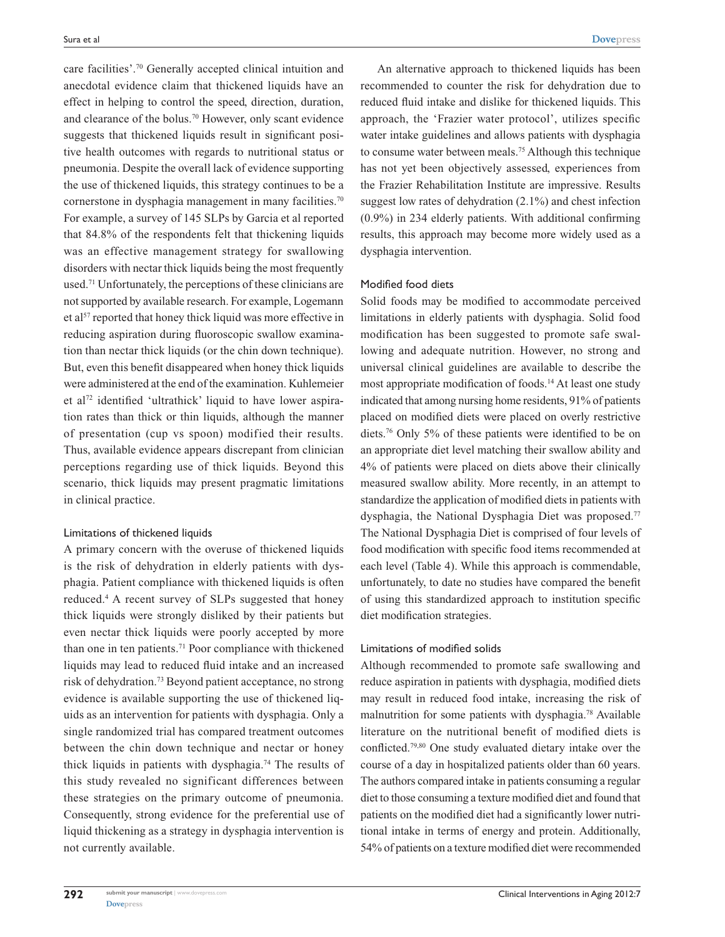care facilities'.70 Generally accepted clinical intuition and anecdotal evidence claim that thickened liquids have an effect in helping to control the speed, direction, duration, and clearance of the bolus.70 However, only scant evidence suggests that thickened liquids result in significant positive health outcomes with regards to nutritional status or pneumonia. Despite the overall lack of evidence supporting the use of thickened liquids, this strategy continues to be a cornerstone in dysphagia management in many facilities.<sup>70</sup> For example, a survey of 145 SLPs by Garcia et al reported that 84.8% of the respondents felt that thickening liquids was an effective management strategy for swallowing disorders with nectar thick liquids being the most frequently used.71 Unfortunately, the perceptions of these clinicians are not supported by available research. For example, Logemann et al<sup>57</sup> reported that honey thick liquid was more effective in reducing aspiration during fluoroscopic swallow examination than nectar thick liquids (or the chin down technique). But, even this benefit disappeared when honey thick liquids were administered at the end of the examination. Kuhlemeier et al72 identified 'ultrathick' liquid to have lower aspiration rates than thick or thin liquids, although the manner of presentation (cup vs spoon) modified their results. Thus, available evidence appears discrepant from clinician perceptions regarding use of thick liquids. Beyond this scenario, thick liquids may present pragmatic limitations in clinical practice.

#### Limitations of thickened liquids

A primary concern with the overuse of thickened liquids is the risk of dehydration in elderly patients with dysphagia. Patient compliance with thickened liquids is often reduced.4 A recent survey of SLPs suggested that honey thick liquids were strongly disliked by their patients but even nectar thick liquids were poorly accepted by more than one in ten patients.71 Poor compliance with thickened liquids may lead to reduced fluid intake and an increased risk of dehydration.73 Beyond patient acceptance, no strong evidence is available supporting the use of thickened liquids as an intervention for patients with dysphagia. Only a single randomized trial has compared treatment outcomes between the chin down technique and nectar or honey thick liquids in patients with dysphagia.74 The results of this study revealed no significant differences between these strategies on the primary outcome of pneumonia. Consequently, strong evidence for the preferential use of liquid thickening as a strategy in dysphagia intervention is not currently available.

An alternative approach to thickened liquids has been recommended to counter the risk for dehydration due to reduced fluid intake and dislike for thickened liquids. This approach, the 'Frazier water protocol', utilizes specific water intake guidelines and allows patients with dysphagia to consume water between meals.75 Although this technique has not yet been objectively assessed, experiences from the Frazier Rehabilitation Institute are impressive. Results suggest low rates of dehydration (2.1%) and chest infection (0.9%) in 234 elderly patients. With additional confirming results, this approach may become more widely used as a dysphagia intervention.

#### Modified food diets

Solid foods may be modified to accommodate perceived limitations in elderly patients with dysphagia. Solid food modification has been suggested to promote safe swallowing and adequate nutrition. However, no strong and universal clinical guidelines are available to describe the most appropriate modification of foods.<sup>14</sup> At least one study indicated that among nursing home residents, 91% of patients placed on modified diets were placed on overly restrictive diets.76 Only 5% of these patients were identified to be on an appropriate diet level matching their swallow ability and 4% of patients were placed on diets above their clinically measured swallow ability. More recently, in an attempt to standardize the application of modified diets in patients with dysphagia, the National Dysphagia Diet was proposed.<sup>77</sup> The National Dysphagia Diet is comprised of four levels of food modification with specific food items recommended at each level (Table 4). While this approach is commendable, unfortunately, to date no studies have compared the benefit of using this standardized approach to institution specific diet modification strategies.

#### Limitations of modified solids

Although recommended to promote safe swallowing and reduce aspiration in patients with dysphagia, modified diets may result in reduced food intake, increasing the risk of malnutrition for some patients with dysphagia.78 Available literature on the nutritional benefit of modified diets is conflicted.79,80 One study evaluated dietary intake over the course of a day in hospitalized patients older than 60 years. The authors compared intake in patients consuming a regular diet to those consuming a texture modified diet and found that patients on the modified diet had a significantly lower nutritional intake in terms of energy and protein. Additionally, 54% of patients on a texture modified diet were recommended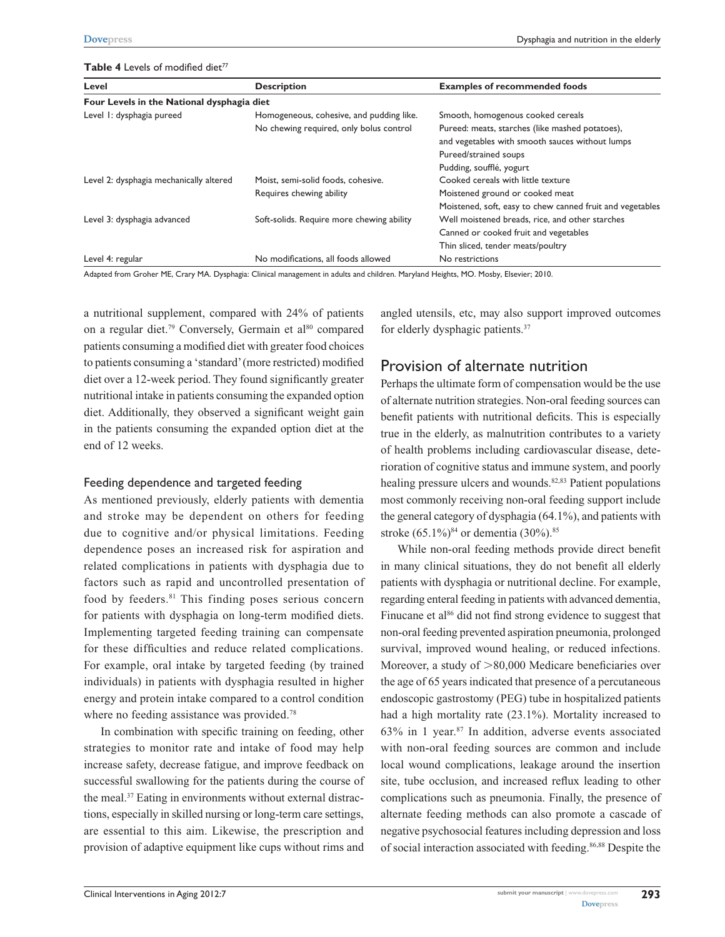| <b>Table 4</b> Levels of modified diet <sup>77</sup> |  |
|------------------------------------------------------|--|
|------------------------------------------------------|--|

| Level                                      | <b>Description</b>                        | <b>Examples of recommended foods</b>                      |
|--------------------------------------------|-------------------------------------------|-----------------------------------------------------------|
| Four Levels in the National dysphagia diet |                                           |                                                           |
| Level I: dysphagia pureed                  | Homogeneous, cohesive, and pudding like.  | Smooth, homogenous cooked cereals                         |
|                                            | No chewing required, only bolus control   | Pureed: meats, starches (like mashed potatoes),           |
|                                            |                                           | and vegetables with smooth sauces without lumps           |
|                                            |                                           | Pureed/strained soups                                     |
|                                            |                                           | Pudding, soufflé, yogurt                                  |
| Level 2: dysphagia mechanically altered    | Moist, semi-solid foods, cohesive.        | Cooked cereals with little texture                        |
|                                            | Requires chewing ability                  | Moistened ground or cooked meat                           |
|                                            |                                           | Moistened, soft, easy to chew canned fruit and vegetables |
| Level 3: dysphagia advanced                | Soft-solids. Require more chewing ability | Well moistened breads, rice, and other starches           |
|                                            |                                           | Canned or cooked fruit and vegetables                     |
|                                            |                                           | Thin sliced, tender meats/poultry                         |
| Level 4: regular                           | No modifications, all foods allowed       | No restrictions                                           |

Adapted from Groher ME, Crary MA. Dysphagia: Clinical management in adults and children. Maryland Heights, MO. Mosby, Elsevier; 2010.

a nutritional supplement, compared with 24% of patients on a regular diet.<sup>79</sup> Conversely, Germain et al<sup>80</sup> compared patients consuming a modified diet with greater food choices to patients consuming a 'standard' (more restricted) modified diet over a 12-week period. They found significantly greater nutritional intake in patients consuming the expanded option diet. Additionally, they observed a significant weight gain in the patients consuming the expanded option diet at the end of 12 weeks.

#### Feeding dependence and targeted feeding

As mentioned previously, elderly patients with dementia and stroke may be dependent on others for feeding due to cognitive and/or physical limitations. Feeding dependence poses an increased risk for aspiration and related complications in patients with dysphagia due to factors such as rapid and uncontrolled presentation of food by feeders.<sup>81</sup> This finding poses serious concern for patients with dysphagia on long-term modified diets. Implementing targeted feeding training can compensate for these difficulties and reduce related complications. For example, oral intake by targeted feeding (by trained individuals) in patients with dysphagia resulted in higher energy and protein intake compared to a control condition where no feeding assistance was provided.<sup>78</sup>

In combination with specific training on feeding, other strategies to monitor rate and intake of food may help increase safety, decrease fatigue, and improve feedback on successful swallowing for the patients during the course of the meal.37 Eating in environments without external distractions, especially in skilled nursing or long-term care settings, are essential to this aim. Likewise, the prescription and provision of adaptive equipment like cups without rims and

angled utensils, etc, may also support improved outcomes for elderly dysphagic patients.37

# Provision of alternate nutrition

Perhaps the ultimate form of compensation would be the use of alternate nutrition strategies. Non-oral feeding sources can benefit patients with nutritional deficits. This is especially true in the elderly, as malnutrition contributes to a variety of health problems including cardiovascular disease, deterioration of cognitive status and immune system, and poorly healing pressure ulcers and wounds.<sup>82,83</sup> Patient populations most commonly receiving non-oral feeding support include the general category of dysphagia (64.1%), and patients with stroke  $(65.1\%)^{84}$  or dementia  $(30\%)^{85}$ 

While non-oral feeding methods provide direct benefit in many clinical situations, they do not benefit all elderly patients with dysphagia or nutritional decline. For example, regarding enteral feeding in patients with advanced dementia, Finucane et al<sup>86</sup> did not find strong evidence to suggest that non-oral feeding prevented aspiration pneumonia, prolonged survival, improved wound healing, or reduced infections. Moreover, a study of  $> 80,000$  Medicare beneficiaries over the age of 65 years indicated that presence of a percutaneous endoscopic gastrostomy (PEG) tube in hospitalized patients had a high mortality rate (23.1%). Mortality increased to 63% in 1 year. $87$  In addition, adverse events associated with non-oral feeding sources are common and include local wound complications, leakage around the insertion site, tube occlusion, and increased reflux leading to other complications such as pneumonia. Finally, the presence of alternate feeding methods can also promote a cascade of negative psychosocial features including depression and loss of social interaction associated with feeding.86,88 Despite the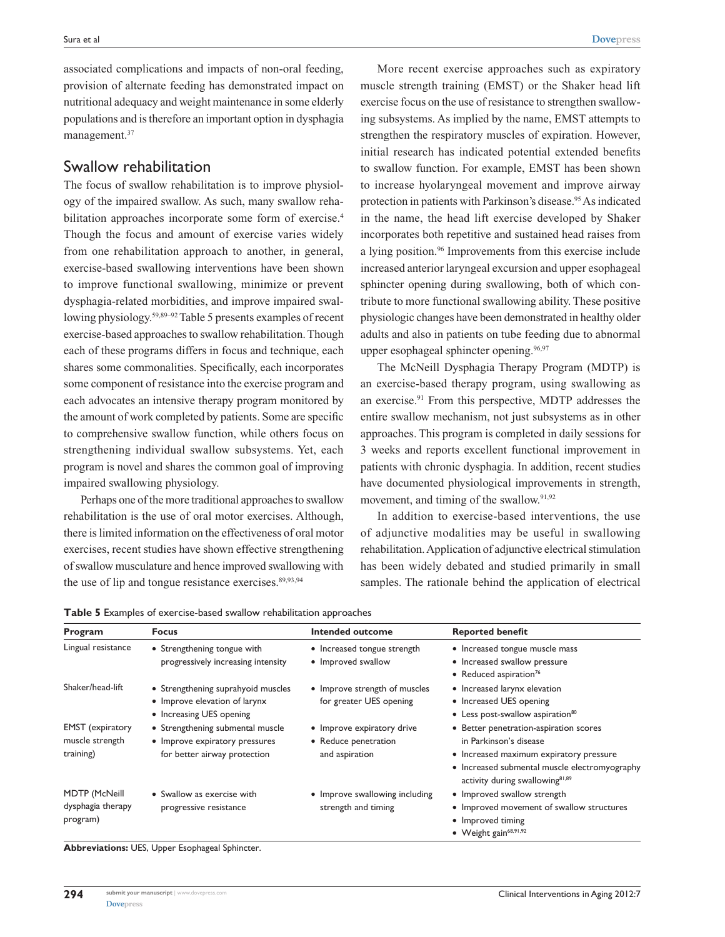associated complications and impacts of non-oral feeding, provision of alternate feeding has demonstrated impact on nutritional adequacy and weight maintenance in some elderly populations and is therefore an important option in dysphagia management.<sup>37</sup>

### Swallow rehabilitation

The focus of swallow rehabilitation is to improve physiology of the impaired swallow. As such, many swallow rehabilitation approaches incorporate some form of exercise.<sup>4</sup> Though the focus and amount of exercise varies widely from one rehabilitation approach to another, in general, exercise-based swallowing interventions have been shown to improve functional swallowing, minimize or prevent dysphagia-related morbidities, and improve impaired swallowing physiology.59,89–92Table 5 presents examples of recent exercise-based approaches to swallow rehabilitation. Though each of these programs differs in focus and technique, each shares some commonalities. Specifically, each incorporates some component of resistance into the exercise program and each advocates an intensive therapy program monitored by the amount of work completed by patients. Some are specific to comprehensive swallow function, while others focus on strengthening individual swallow subsystems. Yet, each program is novel and shares the common goal of improving impaired swallowing physiology.

Perhaps one of the more traditional approaches to swallow rehabilitation is the use of oral motor exercises. Although, there is limited information on the effectiveness of oral motor exercises, recent studies have shown effective strengthening of swallow musculature and hence improved swallowing with the use of lip and tongue resistance exercises. $89,93,94$ 

More recent exercise approaches such as expiratory muscle strength training (EMST) or the Shaker head lift exercise focus on the use of resistance to strengthen swallowing subsystems. As implied by the name, EMST attempts to strengthen the respiratory muscles of expiration. However, initial research has indicated potential extended benefits to swallow function. For example, EMST has been shown to increase hyolaryngeal movement and improve airway protection in patients with Parkinson's disease.<sup>95</sup> As indicated in the name, the head lift exercise developed by Shaker incorporates both repetitive and sustained head raises from a lying position.96 Improvements from this exercise include increased anterior laryngeal excursion and upper esophageal sphincter opening during swallowing, both of which contribute to more functional swallowing ability. These positive physiologic changes have been demonstrated in healthy older adults and also in patients on tube feeding due to abnormal upper esophageal sphincter opening.<sup>96,97</sup>

The McNeill Dysphagia Therapy Program (MDTP) is an exercise-based therapy program, using swallowing as an exercise.91 From this perspective, MDTP addresses the entire swallow mechanism, not just subsystems as in other approaches. This program is completed in daily sessions for 3 weeks and reports excellent functional improvement in patients with chronic dysphagia. In addition, recent studies have documented physiological improvements in strength, movement, and timing of the swallow.<sup>91,92</sup>

In addition to exercise-based interventions, the use of adjunctive modalities may be useful in swallowing rehabilitation. Application of adjunctive electrical stimulation has been widely debated and studied primarily in small samples. The rationale behind the application of electrical

|  |  |  | Table 5 Examples of exercise-based swallow rehabilitation approaches |  |
|--|--|--|----------------------------------------------------------------------|--|
|--|--|--|----------------------------------------------------------------------|--|

| Program                                                 | <b>Focus</b>                                                                                       | Intended outcome                                                     | <b>Reported benefit</b>                                                                                                                                                                         |
|---------------------------------------------------------|----------------------------------------------------------------------------------------------------|----------------------------------------------------------------------|-------------------------------------------------------------------------------------------------------------------------------------------------------------------------------------------------|
| Lingual resistance                                      | • Strengthening tongue with<br>progressively increasing intensity                                  | • Increased tongue strength<br>• Improved swallow                    | • Increased tongue muscle mass<br>• Increased swallow pressure<br>• Reduced aspiration <sup>76</sup>                                                                                            |
| Shaker/head-lift                                        | • Strengthening suprahyoid muscles<br>• Improve elevation of larynx<br>• Increasing UES opening    | • Improve strength of muscles<br>for greater UES opening             | • Increased larynx elevation<br>• Increased UES opening<br>• Less post-swallow aspiration <sup>80</sup>                                                                                         |
| <b>EMST</b> (expiratory<br>muscle strength<br>training) | • Strengthening submental muscle<br>• Improve expiratory pressures<br>for better airway protection | • Improve expiratory drive<br>• Reduce penetration<br>and aspiration | • Better penetration-aspiration scores<br>in Parkinson's disease<br>• Increased maximum expiratory pressure<br>• Increased submental muscle electromyography<br>activity during swallowing81,89 |
| <b>MDTP</b> (McNeill<br>dysphagia therapy<br>program)   | • Swallow as exercise with<br>progressive resistance                                               | • Improve swallowing including<br>strength and timing                | • Improved swallow strength<br>• Improved movement of swallow structures<br>• Improved timing<br>• Weight gain <sup>68,91,92</sup>                                                              |

**Abbreviations:** UES, Upper Esophageal Sphincter.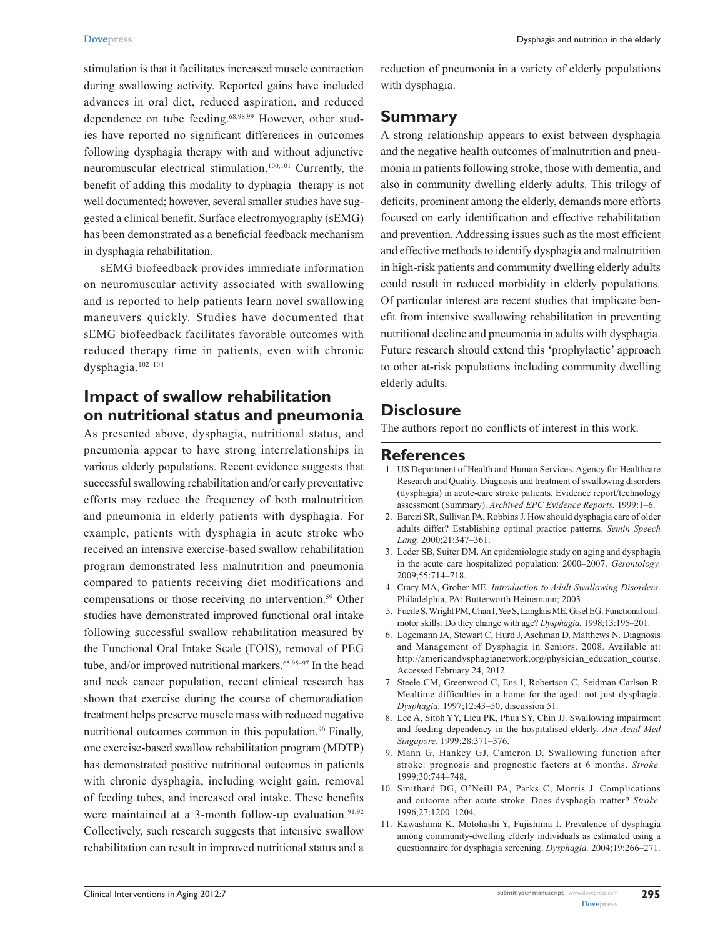stimulation is that it facilitates increased muscle contraction during swallowing activity. Reported gains have included advances in oral diet, reduced aspiration, and reduced dependence on tube feeding.68,98,99 However, other studies have reported no significant differences in outcomes following dysphagia therapy with and without adjunctive neuromuscular electrical stimulation.100,101 Currently, the benefit of adding this modality to dyphagia therapy is not well documented; however, several smaller studies have suggested a clinical benefit. Surface electromyography (sEMG) has been demonstrated as a beneficial feedback mechanism in dysphagia rehabilitation.

sEMG biofeedback provides immediate information on neuromuscular activity associated with swallowing and is reported to help patients learn novel swallowing maneuvers quickly. Studies have documented that sEMG biofeedback facilitates favorable outcomes with reduced therapy time in patients, even with chronic dysphagia.102–104

# **Impact of swallow rehabilitation on nutritional status and pneumonia**

As presented above, dysphagia, nutritional status, and pneumonia appear to have strong interrelationships in various elderly populations. Recent evidence suggests that successful swallowing rehabilitation and/or early preventative efforts may reduce the frequency of both malnutrition and pneumonia in elderly patients with dysphagia. For example, patients with dysphagia in acute stroke who received an intensive exercise-based swallow rehabilitation program demonstrated less malnutrition and pneumonia compared to patients receiving diet modifications and compensations or those receiving no intervention.<sup>59</sup> Other studies have demonstrated improved functional oral intake following successful swallow rehabilitation measured by the Functional Oral Intake Scale (FOIS), removal of PEG tube, and/or improved nutritional markers. $65,95-97$  In the head and neck cancer population, recent clinical research has shown that exercise during the course of chemoradiation treatment helps preserve muscle mass with reduced negative nutritional outcomes common in this population.<sup>90</sup> Finally, one exercise-based swallow rehabilitation program (MDTP) has demonstrated positive nutritional outcomes in patients with chronic dysphagia, including weight gain, removal of feeding tubes, and increased oral intake. These benefits were maintained at a 3-month follow-up evaluation.<sup>91,92</sup> Collectively, such research suggests that intensive swallow rehabilitation can result in improved nutritional status and a reduction of pneumonia in a variety of elderly populations with dysphagia.

### **Summary**

A strong relationship appears to exist between dysphagia and the negative health outcomes of malnutrition and pneumonia in patients following stroke, those with dementia, and also in community dwelling elderly adults. This trilogy of deficits, prominent among the elderly, demands more efforts focused on early identification and effective rehabilitation and prevention. Addressing issues such as the most efficient and effective methods to identify dysphagia and malnutrition in high-risk patients and community dwelling elderly adults could result in reduced morbidity in elderly populations. Of particular interest are recent studies that implicate benefit from intensive swallowing rehabilitation in preventing nutritional decline and pneumonia in adults with dysphagia. Future research should extend this 'prophylactic' approach to other at-risk populations including community dwelling elderly adults.

### **Disclosure**

The authors report no conflicts of interest in this work.

### **References**

- 1. US Department of Health and Human Services. Agency for Healthcare Research and Quality. Diagnosis and treatment of swallowing disorders (dysphagia) in acute-care stroke patients. Evidence report/technology assessment (Summary). *Archived EPC Evidence Reports.* 1999:1–6.
- 2. Barczi SR, Sullivan PA, Robbins J. How should dysphagia care of older adults differ? Establishing optimal practice patterns. *Semin Speech Lang.* 2000;21:347–361.
- 3. Leder SB, Suiter DM. An epidemiologic study on aging and dysphagia in the acute care hospitalized population: 2000–2007. *Gerontology.* 2009;55:714–718.
- 4. Crary MA, Groher ME. *Introduction to Adult Swallowing Disorders*. Philadelphia, PA: Butterworth Heinemann; 2003.
- 5. Fucile S, Wright PM, Chan I, Yee S, Langlais ME, Gisel EG. Functional oralmotor skills: Do they change with age? *Dysphagia.* 1998;13:195–201.
- 6. Logemann JA, Stewart C, Hurd J, Aschman D, Matthews N. Diagnosis and Management of Dysphagia in Seniors. 2008. Available at: [http://americandysphagianetwork.org/physician\\_education\\_course](http://americandysphagianetwork.org/physician_education_course). Accessed February 24, 2012.
- 7. Steele CM, Greenwood C, Ens I, Robertson C, Seidman-Carlson R. Mealtime difficulties in a home for the aged: not just dysphagia. *Dysphagia.* 1997;12:43–50, discussion 51.
- 8. Lee A, Sitoh YY, Lieu PK, Phua SY, Chin JJ. Swallowing impairment and feeding dependency in the hospitalised elderly. *Ann Acad Med Singapore.* 1999;28:371–376.
- 9. Mann G, Hankey GJ, Cameron D. Swallowing function after stroke: prognosis and prognostic factors at 6 months. *Stroke.* 1999;30:744–748.
- 10. Smithard DG, O'Neill PA, Parks C, Morris J. Complications and outcome after acute stroke. Does dysphagia matter? *Stroke.* 1996;27:1200–1204.
- 11. Kawashima K, Motohashi Y, Fujishima I. Prevalence of dysphagia among community-dwelling elderly individuals as estimated using a questionnaire for dysphagia screening. *Dysphagia.* 2004;19:266–271.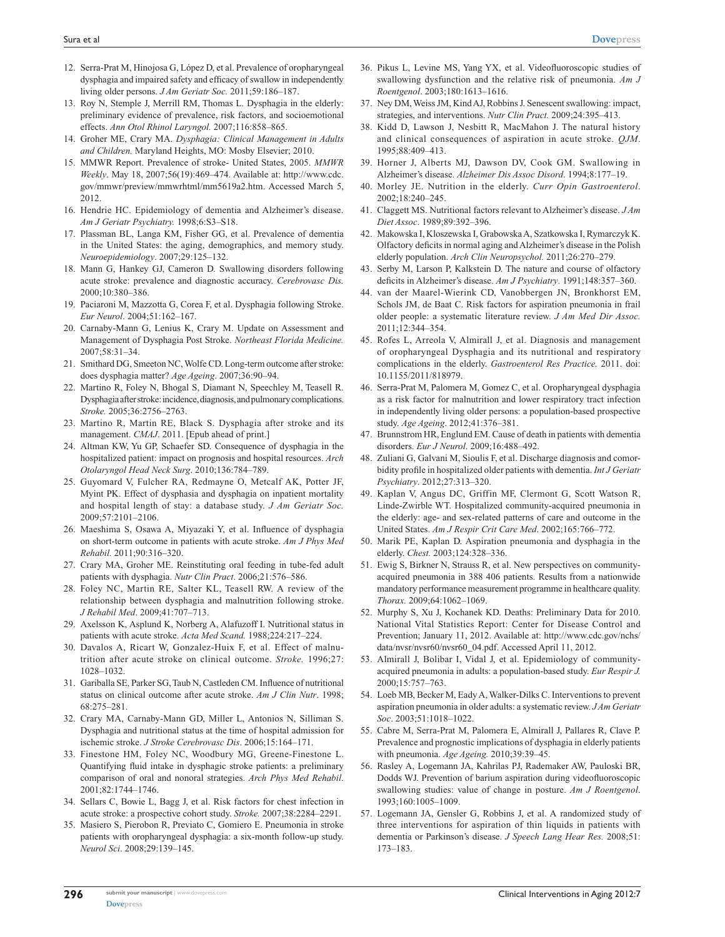- 12. Serra-Prat M, Hinojosa G, López D, et al. Prevalence of oropharyngeal dysphagia and impaired safety and efficacy of swallow in independently living older persons. *J Am Geriatr Soc.* 2011;59:186–187.
- 13. Roy N, Stemple J, Merrill RM, Thomas L. Dysphagia in the elderly: preliminary evidence of prevalence, risk factors, and socioemotional effects. *Ann Otol Rhinol Laryngol.* 2007;116:858–865.
- 14. Groher ME, Crary MA. *Dysphagia: Clinical Management in Adults and Children.* Maryland Heights, MO: Mosby Elsevier; 2010.
- 15. MMWR Report. Prevalence of stroke- United States, 2005. *MMWR Weekly*. May 18, 2007;56(19):469–474. Available at: http://www.cdc. gov/mmwr/preview/mmwrhtml/mm5619a2.htm. Accessed March 5, 2012.
- 16. Hendrie HC. Epidemiology of dementia and Alzheimer's disease. *Am J Geriatr Psychiatry.* 1998;6:S3–S18.
- 17. Plassman BL, Langa KM, Fisher GG, et al. Prevalence of dementia in the United States: the aging, demographics, and memory study. *Neuroepidemiology*. 2007;29:125–132.
- 18. Mann G, Hankey GJ, Cameron D. Swallowing disorders following acute stroke: prevalence and diagnostic accuracy. *Cerebrovasc Dis.* 2000;10:380–386.
- 19. Paciaroni M, Mazzotta G, Corea F, et al. Dysphagia following Stroke. *Eur Neurol*. 2004;51:162–167.
- 20. Carnaby-Mann G, Lenius K, Crary M. Update on Assessment and Management of Dysphagia Post Stroke. *Northeast Florida Medicine.* 2007;58:31–34.
- 21. Smithard DG, Smeeton NC, Wolfe CD. Long-term outcome after stroke: does dysphagia matter? *Age Ageing*. 2007;36:90–94.
- 22. Martino R, Foley N, Bhogal S, Diamant N, Speechley M, Teasell R. Dysphagia after stroke: incidence, diagnosis, and pulmonary complications. *Stroke.* 2005;36:2756–2763.
- 23. Martino R, Martin RE, Black S. Dysphagia after stroke and its management. *CMAJ*. 2011. [Epub ahead of print.]
- 24. Altman KW, Yu GP, Schaefer SD. Consequence of dysphagia in the hospitalized patient: impact on prognosis and hospital resources. *Arch Otolaryngol Head Neck Surg*. 2010;136:784–789.
- 25. Guyomard V, Fulcher RA, Redmayne O, Metcalf AK, Potter JF, Myint PK. Effect of dysphasia and dysphagia on inpatient mortality and hospital length of stay: a database study. *J Am Geriatr Soc.* 2009;57:2101–2106.
- 26. Maeshima S, Osawa A, Miyazaki Y, et al. Influence of dysphagia on short-term outcome in patients with acute stroke. *Am J Phys Med Rehabil.* 2011;90:316–320.
- 27. Crary MA, Groher ME. Reinstituting oral feeding in tube-fed adult patients with dysphagia. *Nutr Clin Pract*. 2006;21:576–586.
- 28. Foley NC, Martin RE, Salter KL, Teasell RW. A review of the relationship between dysphagia and malnutrition following stroke. *J Rehabil Med*. 2009;41:707–713.
- 29. Axelsson K, Asplund K, Norberg A, Alafuzoff I. Nutritional status in patients with acute stroke. *Acta Med Scand.* 1988;224:217–224.
- 30. Davalos A, Ricart W, Gonzalez-Huix F, et al. Effect of malnutrition after acute stroke on clinical outcome. *Stroke.* 1996;27: 1028–1032.
- 31. Gariballa SE, Parker SG, Taub N, Castleden CM. Influence of nutritional status on clinical outcome after acute stroke. *Am J Clin Nutr*. 1998; 68:275–281.
- 32. Crary MA, Carnaby-Mann GD, Miller L, Antonios N, Silliman S. Dysphagia and nutritional status at the time of hospital admission for ischemic stroke. *J Stroke Cerebrovasc Dis*. 2006;15:164–171.
- 33. Finestone HM, Foley NC, Woodbury MG, Greene-Finestone L. Quantifying fluid intake in dysphagic stroke patients: a preliminary comparison of oral and nonoral strategies. *Arch Phys Med Rehabil*. 2001;82:1744–1746.
- 34. Sellars C, Bowie L, Bagg J, et al. Risk factors for chest infection in acute stroke: a prospective cohort study. *Stroke.* 2007;38:2284–2291.
- 35. Masiero S, Pierobon R, Previato C, Gomiero E. Pneumonia in stroke patients with oropharyngeal dysphagia: a six-month follow-up study. *Neurol Sci*. 2008;29:139–145.
- 36. Pikus L, Levine MS, Yang YX, et al. Videofluoroscopic studies of swallowing dysfunction and the relative risk of pneumonia. *Am J Roentgenol*. 2003;180:1613–1616.
- 37. Ney DM, Weiss JM, Kind AJ, Robbins J. Senescent swallowing: impact, strategies, and interventions. *Nutr Clin Pract.* 2009;24:395–413.
- 38. Kidd D, Lawson J, Nesbitt R, MacMahon J. The natural history and clinical consequences of aspiration in acute stroke. *QJM*. 1995;88:409–413.
- 39. Horner J, Alberts MJ, Dawson DV, Cook GM. Swallowing in Alzheimer's disease. *Alzheimer Dis Assoc Disord*. 1994;8:177–19.
- 40. Morley JE. Nutrition in the elderly. *Curr Opin Gastroenterol*. 2002;18:240–245.
- 41. Claggett MS. Nutritional factors relevant to Alzheimer's disease. *J Am Diet Assoc*. 1989;89:392–396.
- 42. Makowska I, Kloszewska I, Grabowska A, Szatkowska I, Rymarczyk K. Olfactory deficits in normal aging and Alzheimer's disease in the Polish elderly population. *Arch Clin Neuropsychol.* 2011;26:270–279.
- 43. Serby M, Larson P, Kalkstein D. The nature and course of olfactory deficits in Alzheimer's disease. *Am J Psychiatry*. 1991;148:357–360.
- 44. van der Maarel-Wierink CD, Vanobbergen JN, Bronkhorst EM, Schols JM, de Baat C. Risk factors for aspiration pneumonia in frail older people: a systematic literature review. *J Am Med Dir Assoc.* 2011;12:344–354.
- 45. Rofes L, Arreola V, Almirall J, et al. Diagnosis and management of oropharyngeal Dysphagia and its nutritional and respiratory complications in the elderly. *Gastroenterol Res Practice.* 2011. doi: 10.1155/2011/818979.
- 46. Serra-Prat M, Palomera M, Gomez C, et al. Oropharyngeal dysphagia as a risk factor for malnutrition and lower respiratory tract infection in independently living older persons: a population-based prospective study. *Age Ageing*. 2012;41:376–381.
- 47. Brunnstrom HR, Englund EM. Cause of death in patients with dementia disorders. *Eur J Neurol*. 2009;16:488–492.
- 48. Zuliani G, Galvani M, Sioulis F, et al. Discharge diagnosis and comorbidity profile in hospitalized older patients with dementia. *Int J Geriatr Psychiatry*. 2012;27:313–320.
- 49. Kaplan V, Angus DC, Griffin MF, Clermont G, Scott Watson R, Linde-Zwirble WT. Hospitalized community-acquired pneumonia in the elderly: age- and sex-related patterns of care and outcome in the United States. *Am J Respir Crit Care Med*. 2002;165:766–772.
- 50. Marik PE, Kaplan D. Aspiration pneumonia and dysphagia in the elderly. *Chest.* 2003;124:328–336.
- 51. Ewig S, Birkner N, Strauss R, et al. New perspectives on communityacquired pneumonia in 388 406 patients. Results from a nationwide mandatory performance measurement programme in healthcare quality. *Thorax.* 2009;64:1062–1069.
- 52. Murphy S, Xu J, Kochanek KD. Deaths: Preliminary Data for 2010. National Vital Statistics Report: Center for Disease Control and Prevention; January 11, 2012. Available at: http://www.cdc.gov/nchs/ data/nvsr/nvsr60/nvsr60\_04.pdf. Accessed April 11, 2012.
- 53. Almirall J, Bolibar I, Vidal J, et al. Epidemiology of communityacquired pneumonia in adults: a population-based study. *Eur Respir J.* 2000;15:757–763.
- 54. Loeb MB, Becker M, Eady A, Walker-Dilks C. Interventions to prevent aspiration pneumonia in older adults: a systematic review. *J Am Geriatr Soc*. 2003;51:1018–1022.
- 55. Cabre M, Serra-Prat M, Palomera E, Almirall J, Pallares R, Clave P. Prevalence and prognostic implications of dysphagia in elderly patients with pneumonia. *Age Ageing.* 2010;39:39–45.
- 56. Rasley A, Logemann JA, Kahrilas PJ, Rademaker AW, Pauloski BR, Dodds WJ. Prevention of barium aspiration during videofluoroscopic swallowing studies: value of change in posture. *Am J Roentgenol*. 1993;160:1005–1009.
- 57. Logemann JA, Gensler G, Robbins J, et al. A randomized study of three interventions for aspiration of thin liquids in patients with dementia or Parkinson's disease. *J Speech Lang Hear Res.* 2008;51: 173–183.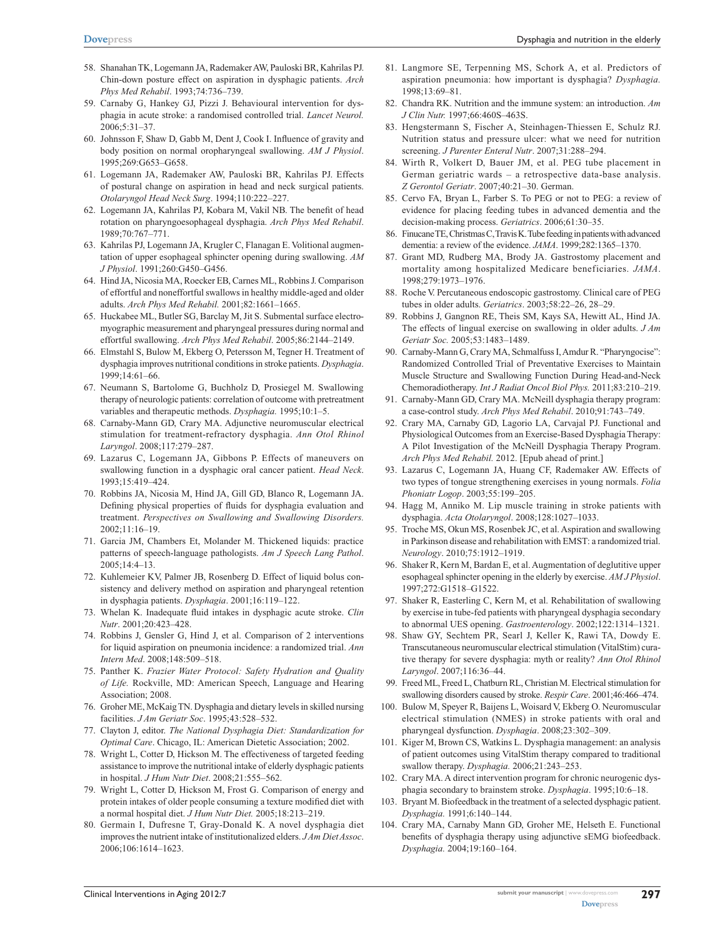- 58. Shanahan TK, Logemann JA, Rademaker AW, Pauloski BR, Kahrilas PJ. Chin-down posture effect on aspiration in dysphagic patients. *Arch Phys Med Rehabil*. 1993;74:736–739.
- 59. Carnaby G, Hankey GJ, Pizzi J. Behavioural intervention for dysphagia in acute stroke: a randomised controlled trial. *Lancet Neurol.* 2006;5:31–37.
- 60. Johnsson F, Shaw D, Gabb M, Dent J, Cook I. Influence of gravity and body position on normal oropharyngeal swallowing. *AM J Physiol*. 1995;269:G653–G658.
- 61. Logemann JA, Rademaker AW, Pauloski BR, Kahrilas PJ. Effects of postural change on aspiration in head and neck surgical patients. *Otolaryngol Head Neck Surg*. 1994;110:222–227.
- 62. Logemann JA, Kahrilas PJ, Kobara M, Vakil NB. The benefit of head rotation on pharyngoesophageal dysphagia. *Arch Phys Med Rehabil*. 1989;70:767–771.
- 63. Kahrilas PJ, Logemann JA, Krugler C, Flanagan E. Volitional augmentation of upper esophageal sphincter opening during swallowing. *AM J Physiol*. 1991;260:G450–G456.
- 64. Hind JA, Nicosia MA, Roecker EB, Carnes ML, Robbins J. Comparison of effortful and noneffortful swallows in healthy middle-aged and older adults. *Arch Phys Med Rehabil.* 2001;82:1661–1665.
- 65. Huckabee ML, Butler SG, Barclay M, Jit S. Submental surface electromyographic measurement and pharyngeal pressures during normal and effortful swallowing. *Arch Phys Med Rehabil*. 2005;86:2144–2149.
- 66. Elmstahl S, Bulow M, Ekberg O, Petersson M, Tegner H. Treatment of dysphagia improves nutritional conditions in stroke patients. *Dysphagia*. 1999;14:61–66.
- 67. Neumann S, Bartolome G, Buchholz D, Prosiegel M. Swallowing therapy of neurologic patients: correlation of outcome with pretreatment variables and therapeutic methods. *Dysphagia.* 1995;10:1–5.
- 68. Carnaby-Mann GD, Crary MA. Adjunctive neuromuscular electrical stimulation for treatment-refractory dysphagia. *Ann Otol Rhinol Laryngol*. 2008;117:279–287.
- 69. Lazarus C, Logemann JA, Gibbons P. Effects of maneuvers on swallowing function in a dysphagic oral cancer patient. *Head Neck*. 1993;15:419–424.
- 70. Robbins JA, Nicosia M, Hind JA, Gill GD, Blanco R, Logemann JA. Defining physical properties of fluids for dysphagia evaluation and treatment. *Perspectives on Swallowing and Swallowing Disorders.* 2002;11:16–19.
- 71. Garcia JM, Chambers Et, Molander M. Thickened liquids: practice patterns of speech-language pathologists. *Am J Speech Lang Pathol*. 2005;14:4–13.
- 72. Kuhlemeier KV, Palmer JB, Rosenberg D. Effect of liquid bolus consistency and delivery method on aspiration and pharyngeal retention in dysphagia patients. *Dysphagia*. 2001;16:119–122.
- 73. Whelan K. Inadequate fluid intakes in dysphagic acute stroke. *Clin Nutr*. 2001;20:423–428.
- 74. Robbins J, Gensler G, Hind J, et al. Comparison of 2 interventions for liquid aspiration on pneumonia incidence: a randomized trial. *Ann Intern Med*. 2008;148:509–518.
- 75. Panther K. *Frazier Water Protocol: Safety Hydration and Quality of Life.* Rockville, MD: American Speech, Language and Hearing Association; 2008.
- 76. Groher ME, McKaig TN. Dysphagia and dietary levels in skilled nursing facilities. *J Am Geriatr Soc*. 1995;43:528–532.
- 77. Clayton J, editor. *The National Dysphagia Diet: Standardization for Optimal Care*. Chicago, IL: American Dietetic Association; 2002.
- 78. Wright L, Cotter D, Hickson M. The effectiveness of targeted feeding assistance to improve the nutritional intake of elderly dysphagic patients in hospital. *J Hum Nutr Diet*. 2008;21:555–562.
- 79. Wright L, Cotter D, Hickson M, Frost G. Comparison of energy and protein intakes of older people consuming a texture modified diet with a normal hospital diet. *J Hum Nutr Diet.* 2005;18:213–219.
- 80. Germain I, Dufresne T, Gray-Donald K. A novel dysphagia diet improves the nutrient intake of institutionalized elders. *J Am Diet Assoc*. 2006;106:1614–1623.
- 81. Langmore SE, Terpenning MS, Schork A, et al. Predictors of aspiration pneumonia: how important is dysphagia? *Dysphagia.*  $1998.13.69 - 81$
- 82. Chandra RK. Nutrition and the immune system: an introduction. *Am J Clin Nutr.* 1997;66:460S–463S.
- 83. Hengstermann S, Fischer A, Steinhagen-Thiessen E, Schulz RJ. Nutrition status and pressure ulcer: what we need for nutrition screening. *J Parenter Enteral Nutr*. 2007;31:288–294.
- 84. Wirth R, Volkert D, Bauer JM, et al. PEG tube placement in German geriatric wards – a retrospective data-base analysis. *Z Gerontol Geriatr*. 2007;40:21–30. German.
- 85. Cervo FA, Bryan L, Farber S. To PEG or not to PEG: a review of evidence for placing feeding tubes in advanced dementia and the decision-making process. *Geriatrics*. 2006;61:30–35.
- 86. Finucane TE, Christmas C, Travis K. Tube feeding in patients with advanced dementia: a review of the evidence. *JAMA*. 1999;282:1365–1370.
- 87. Grant MD, Rudberg MA, Brody JA. Gastrostomy placement and mortality among hospitalized Medicare beneficiaries. *JAMA*. 1998;279:1973–1976.
- 88. Roche V. Percutaneous endoscopic gastrostomy. Clinical care of PEG tubes in older adults. *Geriatrics*. 2003;58:22–26, 28–29.
- 89. Robbins J, Gangnon RE, Theis SM, Kays SA, Hewitt AL, Hind JA. The effects of lingual exercise on swallowing in older adults. *J Am Geriatr Soc.* 2005;53:1483–1489.
- 90. Carnaby-Mann G, Crary MA, Schmalfuss I, Amdur R. "Pharyngocise": Randomized Controlled Trial of Preventative Exercises to Maintain Muscle Structure and Swallowing Function During Head-and-Neck Chemoradiotherapy. *Int J Radiat Oncol Biol Phys.* 2011;83:210–219.
- 91. Carnaby-Mann GD, Crary MA. McNeill dysphagia therapy program: a case-control study. *Arch Phys Med Rehabil*. 2010;91:743–749.
- 92. Crary MA, Carnaby GD, Lagorio LA, Carvajal PJ. Functional and Physiological Outcomes from an Exercise-Based Dysphagia Therapy: A Pilot Investigation of the McNeill Dysphagia Therapy Program. *Arch Phys Med Rehabil.* 2012. [Epub ahead of print.]
- 93. Lazarus C, Logemann JA, Huang CF, Rademaker AW. Effects of two types of tongue strengthening exercises in young normals. *Folia Phoniatr Logop*. 2003;55:199–205.
- 94. Hagg M, Anniko M. Lip muscle training in stroke patients with dysphagia. *Acta Otolaryngol*. 2008;128:1027–1033.
- 95. Troche MS, Okun MS, Rosenbek JC, et al. Aspiration and swallowing in Parkinson disease and rehabilitation with EMST: a randomized trial. *Neurology*. 2010;75:1912–1919.
- 96. Shaker R, Kern M, Bardan E, et al. Augmentation of deglutitive upper esophageal sphincter opening in the elderly by exercise. *AM J Physiol*. 1997;272:G1518–G1522.
- 97. Shaker R, Easterling C, Kern M, et al. Rehabilitation of swallowing by exercise in tube-fed patients with pharyngeal dysphagia secondary to abnormal UES opening. *Gastroenterology*. 2002;122:1314–1321.
- 98. Shaw GY, Sechtem PR, Searl J, Keller K, Rawi TA, Dowdy E. Transcutaneous neuromuscular electrical stimulation (VitalStim) curative therapy for severe dysphagia: myth or reality? *Ann Otol Rhinol Laryngol*. 2007;116:36–44.
- 99. Freed ML, Freed L, Chatburn RL, Christian M. Electrical stimulation for swallowing disorders caused by stroke. *Respir Care*. 2001;46:466–474.
- 100. Bulow M, Speyer R, Baijens L, Woisard V, Ekberg O. Neuromuscular electrical stimulation (NMES) in stroke patients with oral and pharyngeal dysfunction. *Dysphagia*. 2008;23:302–309.
- 101. Kiger M, Brown CS, Watkins L. Dysphagia management: an analysis of patient outcomes using VitalStim therapy compared to traditional swallow therapy. *Dysphagia.* 2006;21:243–253.
- 102. Crary MA. A direct intervention program for chronic neurogenic dysphagia secondary to brainstem stroke. *Dysphagia*. 1995;10:6–18.
- 103. Bryant M. Biofeedback in the treatment of a selected dysphagic patient. *Dysphagia.* 1991;6:140–144.
- 104. Crary MA, Carnaby Mann GD, Groher ME, Helseth E. Functional benefits of dysphagia therapy using adjunctive sEMG biofeedback. *Dysphagia.* 2004;19:160–164.